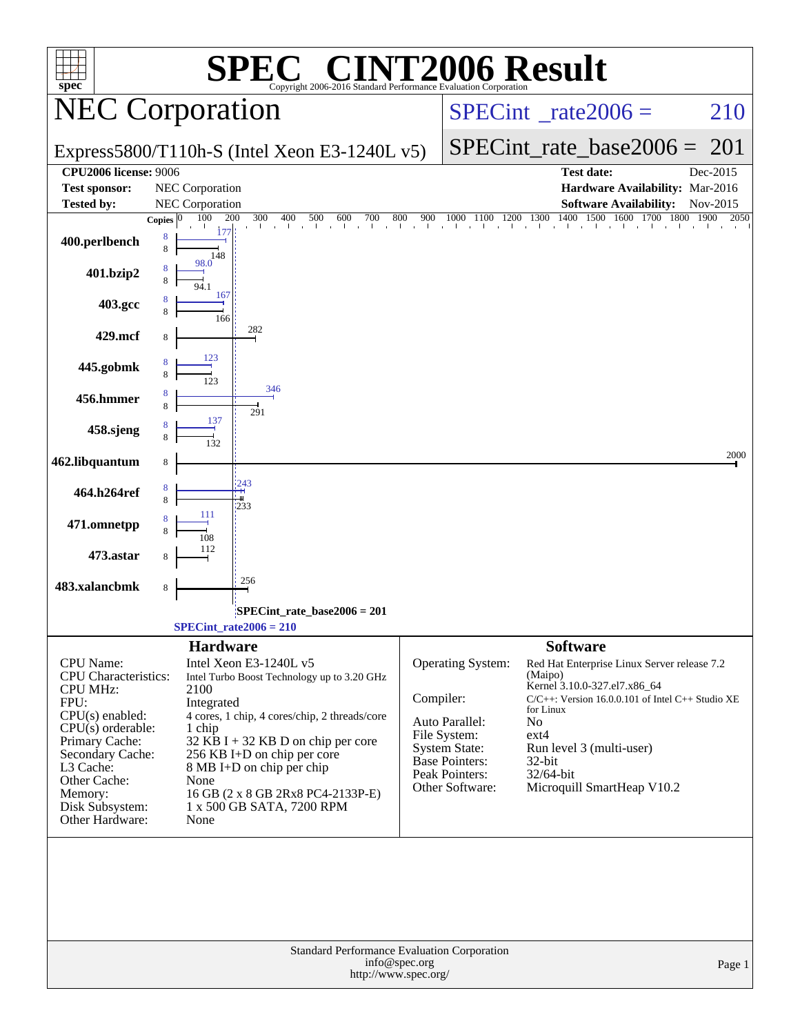| <b>[2006 Result</b><br>spec <sup>®</sup><br>Copyright 2006-2016 Standard Performance Evaluation Corporation<br><b>NEC Corporation</b><br>$SPECint^{\circ}$ rate $2006 =$<br>SPECint rate base $2006 =$<br>201<br>Express5800/T110h-S (Intel Xeon E3-1240L $v5$ )<br><b>CPU2006 license: 9006</b><br><b>Test date:</b><br>Dec-2015<br><b>Test sponsor:</b><br>NEC Corporation<br>Hardware Availability: Mar-2016<br><b>Tested by:</b><br>NEC Corporation<br><b>Software Availability:</b><br>Nov-2015<br>1000 1100 1200 1300 1400 1500 1600 1700 1800 1900<br>300<br>100<br>200<br>400<br>500<br>800<br>900<br>600<br>700<br>2050<br>Copies $ 0 $<br>the contract and a change of<br>8<br>400.perlbench<br>8<br>148<br>98.0<br>401.bzip2<br>167<br>403.gcc<br>166<br>282<br>429.mcf<br>123<br>445.gobmk<br>346<br>456.hmmer<br>291<br>137<br>458.sjeng<br>462.libquantum<br>8<br>243<br>464.h264ref<br>233<br>111<br>471.omnetpp<br>473.astar<br>256<br>483.xalancbmk<br>8<br>SPECint_rate_base2006 = 201<br>SPECint rate $2006 = 210$<br><b>Software</b><br><b>Hardware</b><br>Intel Xeon E3-1240L v5<br>Operating System:<br><b>CPU</b> Name:<br>Red Hat Enterprise Linux Server release 7.2<br><b>CPU</b> Characteristics:<br>(Maipo)<br>Intel Turbo Boost Technology up to 3.20 GHz<br>Kernel 3.10.0-327.el7.x86_64<br>2100<br><b>CPU MHz:</b><br>Compiler:<br>$C/C++$ : Version 16.0.0.101 of Intel $C++$ Studio XE<br>FPU:<br>Integrated<br>for Linux<br>$CPU(s)$ enabled:<br>4 cores, 1 chip, 4 cores/chip, 2 threads/core<br>Auto Parallel:<br>No<br>$CPU(s)$ orderable:<br>1 chip<br>File System:<br>$ext{4}$<br>Primary Cache:<br>$32$ KB I + 32 KB D on chip per core<br><b>System State:</b><br>Run level 3 (multi-user)<br>Secondary Cache:<br>256 KB I+D on chip per core<br>Base Pointers:<br>$32$ -bit<br>L3 Cache:<br>8 MB I+D on chip per chip<br>Peak Pointers:<br>32/64-bit<br>Other Cache:<br>None<br>Other Software:<br>Microquill SmartHeap V10.2<br>Memory:<br>16 GB (2 x 8 GB 2Rx8 PC4-2133P-E)<br>Disk Subsystem:<br>1 x 500 GB SATA, 7200 RPM<br>Other Hardware:<br>None<br>Standard Performance Evaluation Corporation<br>info@spec.org<br>http://www.spec.org/ |                |  |        |
|--------------------------------------------------------------------------------------------------------------------------------------------------------------------------------------------------------------------------------------------------------------------------------------------------------------------------------------------------------------------------------------------------------------------------------------------------------------------------------------------------------------------------------------------------------------------------------------------------------------------------------------------------------------------------------------------------------------------------------------------------------------------------------------------------------------------------------------------------------------------------------------------------------------------------------------------------------------------------------------------------------------------------------------------------------------------------------------------------------------------------------------------------------------------------------------------------------------------------------------------------------------------------------------------------------------------------------------------------------------------------------------------------------------------------------------------------------------------------------------------------------------------------------------------------------------------------------------------------------------------------------------------------------------------------------------------------------------------------------------------------------------------------------------------------------------------------------------------------------------------------------------------------------------------------------------------------------------------------------------------------------------------------------------------------------------------------------------------------------------------------------------------------------------------------------------------|----------------|--|--------|
|                                                                                                                                                                                                                                                                                                                                                                                                                                                                                                                                                                                                                                                                                                                                                                                                                                                                                                                                                                                                                                                                                                                                                                                                                                                                                                                                                                                                                                                                                                                                                                                                                                                                                                                                                                                                                                                                                                                                                                                                                                                                                                                                                                                            | $\blacksquare$ |  |        |
|                                                                                                                                                                                                                                                                                                                                                                                                                                                                                                                                                                                                                                                                                                                                                                                                                                                                                                                                                                                                                                                                                                                                                                                                                                                                                                                                                                                                                                                                                                                                                                                                                                                                                                                                                                                                                                                                                                                                                                                                                                                                                                                                                                                            |                |  | 210    |
|                                                                                                                                                                                                                                                                                                                                                                                                                                                                                                                                                                                                                                                                                                                                                                                                                                                                                                                                                                                                                                                                                                                                                                                                                                                                                                                                                                                                                                                                                                                                                                                                                                                                                                                                                                                                                                                                                                                                                                                                                                                                                                                                                                                            |                |  |        |
|                                                                                                                                                                                                                                                                                                                                                                                                                                                                                                                                                                                                                                                                                                                                                                                                                                                                                                                                                                                                                                                                                                                                                                                                                                                                                                                                                                                                                                                                                                                                                                                                                                                                                                                                                                                                                                                                                                                                                                                                                                                                                                                                                                                            |                |  |        |
|                                                                                                                                                                                                                                                                                                                                                                                                                                                                                                                                                                                                                                                                                                                                                                                                                                                                                                                                                                                                                                                                                                                                                                                                                                                                                                                                                                                                                                                                                                                                                                                                                                                                                                                                                                                                                                                                                                                                                                                                                                                                                                                                                                                            |                |  |        |
|                                                                                                                                                                                                                                                                                                                                                                                                                                                                                                                                                                                                                                                                                                                                                                                                                                                                                                                                                                                                                                                                                                                                                                                                                                                                                                                                                                                                                                                                                                                                                                                                                                                                                                                                                                                                                                                                                                                                                                                                                                                                                                                                                                                            |                |  |        |
|                                                                                                                                                                                                                                                                                                                                                                                                                                                                                                                                                                                                                                                                                                                                                                                                                                                                                                                                                                                                                                                                                                                                                                                                                                                                                                                                                                                                                                                                                                                                                                                                                                                                                                                                                                                                                                                                                                                                                                                                                                                                                                                                                                                            |                |  |        |
|                                                                                                                                                                                                                                                                                                                                                                                                                                                                                                                                                                                                                                                                                                                                                                                                                                                                                                                                                                                                                                                                                                                                                                                                                                                                                                                                                                                                                                                                                                                                                                                                                                                                                                                                                                                                                                                                                                                                                                                                                                                                                                                                                                                            |                |  |        |
|                                                                                                                                                                                                                                                                                                                                                                                                                                                                                                                                                                                                                                                                                                                                                                                                                                                                                                                                                                                                                                                                                                                                                                                                                                                                                                                                                                                                                                                                                                                                                                                                                                                                                                                                                                                                                                                                                                                                                                                                                                                                                                                                                                                            |                |  |        |
|                                                                                                                                                                                                                                                                                                                                                                                                                                                                                                                                                                                                                                                                                                                                                                                                                                                                                                                                                                                                                                                                                                                                                                                                                                                                                                                                                                                                                                                                                                                                                                                                                                                                                                                                                                                                                                                                                                                                                                                                                                                                                                                                                                                            |                |  |        |
|                                                                                                                                                                                                                                                                                                                                                                                                                                                                                                                                                                                                                                                                                                                                                                                                                                                                                                                                                                                                                                                                                                                                                                                                                                                                                                                                                                                                                                                                                                                                                                                                                                                                                                                                                                                                                                                                                                                                                                                                                                                                                                                                                                                            |                |  |        |
|                                                                                                                                                                                                                                                                                                                                                                                                                                                                                                                                                                                                                                                                                                                                                                                                                                                                                                                                                                                                                                                                                                                                                                                                                                                                                                                                                                                                                                                                                                                                                                                                                                                                                                                                                                                                                                                                                                                                                                                                                                                                                                                                                                                            |                |  |        |
|                                                                                                                                                                                                                                                                                                                                                                                                                                                                                                                                                                                                                                                                                                                                                                                                                                                                                                                                                                                                                                                                                                                                                                                                                                                                                                                                                                                                                                                                                                                                                                                                                                                                                                                                                                                                                                                                                                                                                                                                                                                                                                                                                                                            |                |  |        |
|                                                                                                                                                                                                                                                                                                                                                                                                                                                                                                                                                                                                                                                                                                                                                                                                                                                                                                                                                                                                                                                                                                                                                                                                                                                                                                                                                                                                                                                                                                                                                                                                                                                                                                                                                                                                                                                                                                                                                                                                                                                                                                                                                                                            |                |  |        |
|                                                                                                                                                                                                                                                                                                                                                                                                                                                                                                                                                                                                                                                                                                                                                                                                                                                                                                                                                                                                                                                                                                                                                                                                                                                                                                                                                                                                                                                                                                                                                                                                                                                                                                                                                                                                                                                                                                                                                                                                                                                                                                                                                                                            |                |  |        |
|                                                                                                                                                                                                                                                                                                                                                                                                                                                                                                                                                                                                                                                                                                                                                                                                                                                                                                                                                                                                                                                                                                                                                                                                                                                                                                                                                                                                                                                                                                                                                                                                                                                                                                                                                                                                                                                                                                                                                                                                                                                                                                                                                                                            |                |  | 2000   |
|                                                                                                                                                                                                                                                                                                                                                                                                                                                                                                                                                                                                                                                                                                                                                                                                                                                                                                                                                                                                                                                                                                                                                                                                                                                                                                                                                                                                                                                                                                                                                                                                                                                                                                                                                                                                                                                                                                                                                                                                                                                                                                                                                                                            |                |  |        |
|                                                                                                                                                                                                                                                                                                                                                                                                                                                                                                                                                                                                                                                                                                                                                                                                                                                                                                                                                                                                                                                                                                                                                                                                                                                                                                                                                                                                                                                                                                                                                                                                                                                                                                                                                                                                                                                                                                                                                                                                                                                                                                                                                                                            |                |  |        |
|                                                                                                                                                                                                                                                                                                                                                                                                                                                                                                                                                                                                                                                                                                                                                                                                                                                                                                                                                                                                                                                                                                                                                                                                                                                                                                                                                                                                                                                                                                                                                                                                                                                                                                                                                                                                                                                                                                                                                                                                                                                                                                                                                                                            |                |  |        |
|                                                                                                                                                                                                                                                                                                                                                                                                                                                                                                                                                                                                                                                                                                                                                                                                                                                                                                                                                                                                                                                                                                                                                                                                                                                                                                                                                                                                                                                                                                                                                                                                                                                                                                                                                                                                                                                                                                                                                                                                                                                                                                                                                                                            |                |  |        |
|                                                                                                                                                                                                                                                                                                                                                                                                                                                                                                                                                                                                                                                                                                                                                                                                                                                                                                                                                                                                                                                                                                                                                                                                                                                                                                                                                                                                                                                                                                                                                                                                                                                                                                                                                                                                                                                                                                                                                                                                                                                                                                                                                                                            |                |  |        |
|                                                                                                                                                                                                                                                                                                                                                                                                                                                                                                                                                                                                                                                                                                                                                                                                                                                                                                                                                                                                                                                                                                                                                                                                                                                                                                                                                                                                                                                                                                                                                                                                                                                                                                                                                                                                                                                                                                                                                                                                                                                                                                                                                                                            |                |  |        |
|                                                                                                                                                                                                                                                                                                                                                                                                                                                                                                                                                                                                                                                                                                                                                                                                                                                                                                                                                                                                                                                                                                                                                                                                                                                                                                                                                                                                                                                                                                                                                                                                                                                                                                                                                                                                                                                                                                                                                                                                                                                                                                                                                                                            |                |  |        |
|                                                                                                                                                                                                                                                                                                                                                                                                                                                                                                                                                                                                                                                                                                                                                                                                                                                                                                                                                                                                                                                                                                                                                                                                                                                                                                                                                                                                                                                                                                                                                                                                                                                                                                                                                                                                                                                                                                                                                                                                                                                                                                                                                                                            |                |  |        |
|                                                                                                                                                                                                                                                                                                                                                                                                                                                                                                                                                                                                                                                                                                                                                                                                                                                                                                                                                                                                                                                                                                                                                                                                                                                                                                                                                                                                                                                                                                                                                                                                                                                                                                                                                                                                                                                                                                                                                                                                                                                                                                                                                                                            |                |  |        |
|                                                                                                                                                                                                                                                                                                                                                                                                                                                                                                                                                                                                                                                                                                                                                                                                                                                                                                                                                                                                                                                                                                                                                                                                                                                                                                                                                                                                                                                                                                                                                                                                                                                                                                                                                                                                                                                                                                                                                                                                                                                                                                                                                                                            |                |  |        |
|                                                                                                                                                                                                                                                                                                                                                                                                                                                                                                                                                                                                                                                                                                                                                                                                                                                                                                                                                                                                                                                                                                                                                                                                                                                                                                                                                                                                                                                                                                                                                                                                                                                                                                                                                                                                                                                                                                                                                                                                                                                                                                                                                                                            |                |  |        |
|                                                                                                                                                                                                                                                                                                                                                                                                                                                                                                                                                                                                                                                                                                                                                                                                                                                                                                                                                                                                                                                                                                                                                                                                                                                                                                                                                                                                                                                                                                                                                                                                                                                                                                                                                                                                                                                                                                                                                                                                                                                                                                                                                                                            |                |  |        |
|                                                                                                                                                                                                                                                                                                                                                                                                                                                                                                                                                                                                                                                                                                                                                                                                                                                                                                                                                                                                                                                                                                                                                                                                                                                                                                                                                                                                                                                                                                                                                                                                                                                                                                                                                                                                                                                                                                                                                                                                                                                                                                                                                                                            |                |  |        |
|                                                                                                                                                                                                                                                                                                                                                                                                                                                                                                                                                                                                                                                                                                                                                                                                                                                                                                                                                                                                                                                                                                                                                                                                                                                                                                                                                                                                                                                                                                                                                                                                                                                                                                                                                                                                                                                                                                                                                                                                                                                                                                                                                                                            |                |  |        |
|                                                                                                                                                                                                                                                                                                                                                                                                                                                                                                                                                                                                                                                                                                                                                                                                                                                                                                                                                                                                                                                                                                                                                                                                                                                                                                                                                                                                                                                                                                                                                                                                                                                                                                                                                                                                                                                                                                                                                                                                                                                                                                                                                                                            |                |  |        |
|                                                                                                                                                                                                                                                                                                                                                                                                                                                                                                                                                                                                                                                                                                                                                                                                                                                                                                                                                                                                                                                                                                                                                                                                                                                                                                                                                                                                                                                                                                                                                                                                                                                                                                                                                                                                                                                                                                                                                                                                                                                                                                                                                                                            |                |  |        |
|                                                                                                                                                                                                                                                                                                                                                                                                                                                                                                                                                                                                                                                                                                                                                                                                                                                                                                                                                                                                                                                                                                                                                                                                                                                                                                                                                                                                                                                                                                                                                                                                                                                                                                                                                                                                                                                                                                                                                                                                                                                                                                                                                                                            |                |  |        |
|                                                                                                                                                                                                                                                                                                                                                                                                                                                                                                                                                                                                                                                                                                                                                                                                                                                                                                                                                                                                                                                                                                                                                                                                                                                                                                                                                                                                                                                                                                                                                                                                                                                                                                                                                                                                                                                                                                                                                                                                                                                                                                                                                                                            |                |  | Page 1 |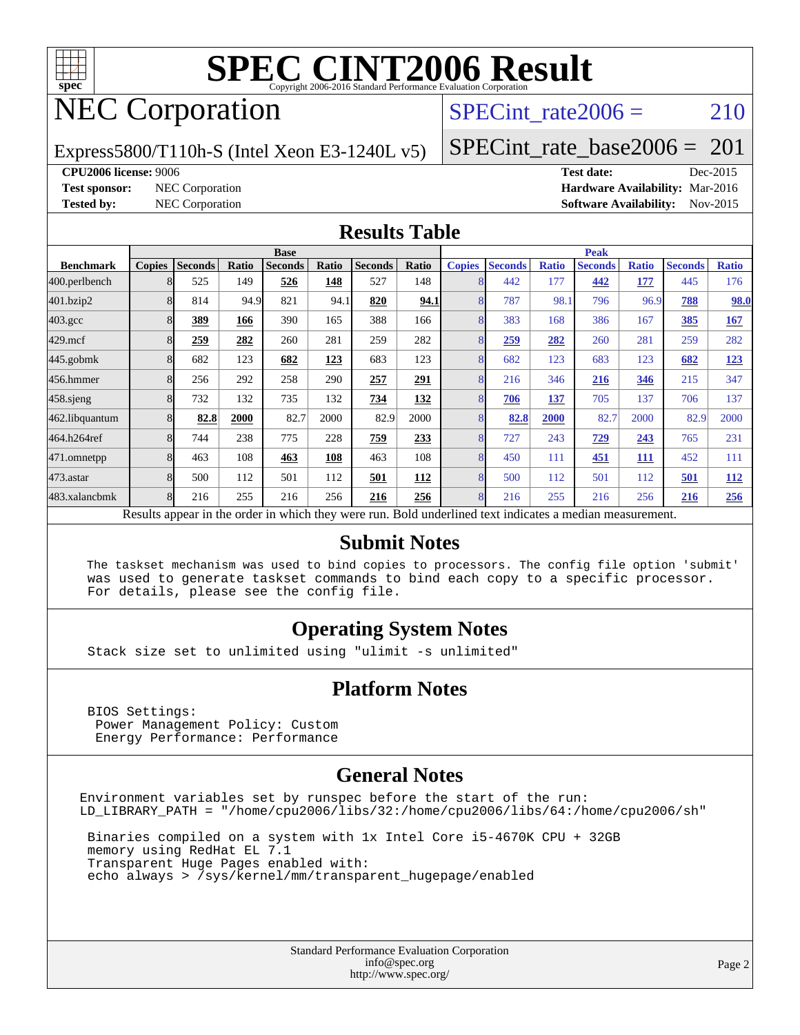

# NEC Corporation

### SPECint rate $2006 = 210$

Express5800/T110h-S (Intel Xeon E3-1240L v5)

[SPECint\\_rate\\_base2006 =](http://www.spec.org/auto/cpu2006/Docs/result-fields.html#SPECintratebase2006) 201

**[CPU2006 license:](http://www.spec.org/auto/cpu2006/Docs/result-fields.html#CPU2006license)** 9006 **[Test date:](http://www.spec.org/auto/cpu2006/Docs/result-fields.html#Testdate)** Dec-2015

**[Test sponsor:](http://www.spec.org/auto/cpu2006/Docs/result-fields.html#Testsponsor)** NEC Corporation **[Hardware Availability:](http://www.spec.org/auto/cpu2006/Docs/result-fields.html#HardwareAvailability)** Mar-2016 **[Tested by:](http://www.spec.org/auto/cpu2006/Docs/result-fields.html#Testedby)** NEC Corporation **[Software Availability:](http://www.spec.org/auto/cpu2006/Docs/result-fields.html#SoftwareAvailability)** Nov-2015

#### **[Results Table](http://www.spec.org/auto/cpu2006/Docs/result-fields.html#ResultsTable)**

|                                                                                                          | <b>Base</b>   |                |       |                |       |                |       | <b>Peak</b>   |                |              |                |              |                |              |
|----------------------------------------------------------------------------------------------------------|---------------|----------------|-------|----------------|-------|----------------|-------|---------------|----------------|--------------|----------------|--------------|----------------|--------------|
| <b>Benchmark</b>                                                                                         | <b>Copies</b> | <b>Seconds</b> | Ratio | <b>Seconds</b> | Ratio | <b>Seconds</b> | Ratio | <b>Copies</b> | <b>Seconds</b> | <b>Ratio</b> | <b>Seconds</b> | <b>Ratio</b> | <b>Seconds</b> | <b>Ratio</b> |
| 400.perlbench                                                                                            | 8             | 525            | 149   | 526            | 148   | 527            | 148   | 8             | 442            | 177          | 442            | 177          | 445            | 176          |
| 401.bzip2                                                                                                |               | 814            | 94.9  | 821            | 94.1  | 820            | 94.1  | 8             | 787            | 98.1         | 796            | 96.9         | 788            | 98.0         |
| $403.\mathrm{gcc}$                                                                                       |               | 389            | 166   | 390            | 165   | 388            | 166   | 8             | 383            | 168          | 386            | 167          | 385            | 167          |
| $429$ .mcf                                                                                               |               | 259            | 282   | 260            | 281   | 259            | 282   | 8             | 259            | 282          | 260            | 281          | 259            | 282          |
| $445$ .gobmk                                                                                             |               | 682            | 123   | 682            | 123   | 683            | 123   | 8             | 682            | 123          | 683            | 123          | 682            | 123          |
| 456.hmmer                                                                                                |               | 256            | 292   | 258            | 290   | 257            | 291   | 8             | 216            | 346          | 216            | 346          | 215            | 347          |
| $458$ .sjeng                                                                                             | 8             | 732            | 132   | 735            | 132   | 734            | 132   | 8             | 706            | 137          | 705            | 137          | 706            | 137          |
| 462.libquantum                                                                                           |               | 82.8           | 2000  | 82.7           | 2000  | 82.9           | 2000  | 8             | 82.8           | 2000         | 82.7           | 2000         | 82.9           | 2000         |
| 464.h264ref                                                                                              | 8             | 744            | 238   | 775            | 228   | 759            | 233   | 8             | 727            | 243          | 729            | 243          | 765            | 231          |
| 471.omnetpp                                                                                              | 8             | 463            | 108   | 463            | 108   | 463            | 108   | 8             | 450            | 111          | 451            | 111          | 452            | 111          |
| 473.astar                                                                                                | 8             | 500            | 112   | 501            | 112   | 501            | 112   | 8             | 500            | 112          | 501            | 112          | 501            | <b>112</b>   |
| 483.xalancbmk                                                                                            | $\mathsf{R}$  | 216            | 255   | 216            | 256   | 216            | 256   | 8             | 216            | 255          | 216            | 256          | 216            | 256          |
| Results appear in the order in which they were run. Bold underlined text indicates a median measurement. |               |                |       |                |       |                |       |               |                |              |                |              |                |              |

#### **[Submit Notes](http://www.spec.org/auto/cpu2006/Docs/result-fields.html#SubmitNotes)**

 The taskset mechanism was used to bind copies to processors. The config file option 'submit' was used to generate taskset commands to bind each copy to a specific processor. For details, please see the config file.

#### **[Operating System Notes](http://www.spec.org/auto/cpu2006/Docs/result-fields.html#OperatingSystemNotes)**

Stack size set to unlimited using "ulimit -s unlimited"

#### **[Platform Notes](http://www.spec.org/auto/cpu2006/Docs/result-fields.html#PlatformNotes)**

 BIOS Settings: Power Management Policy: Custom Energy Performance: Performance

#### **[General Notes](http://www.spec.org/auto/cpu2006/Docs/result-fields.html#GeneralNotes)**

Environment variables set by runspec before the start of the run: LD\_LIBRARY\_PATH = "/home/cpu2006/libs/32:/home/cpu2006/libs/64:/home/cpu2006/sh"

 Binaries compiled on a system with 1x Intel Core i5-4670K CPU + 32GB memory using RedHat EL 7.1 Transparent Huge Pages enabled with: echo always > /sys/kernel/mm/transparent\_hugepage/enabled

> Standard Performance Evaluation Corporation [info@spec.org](mailto:info@spec.org) <http://www.spec.org/>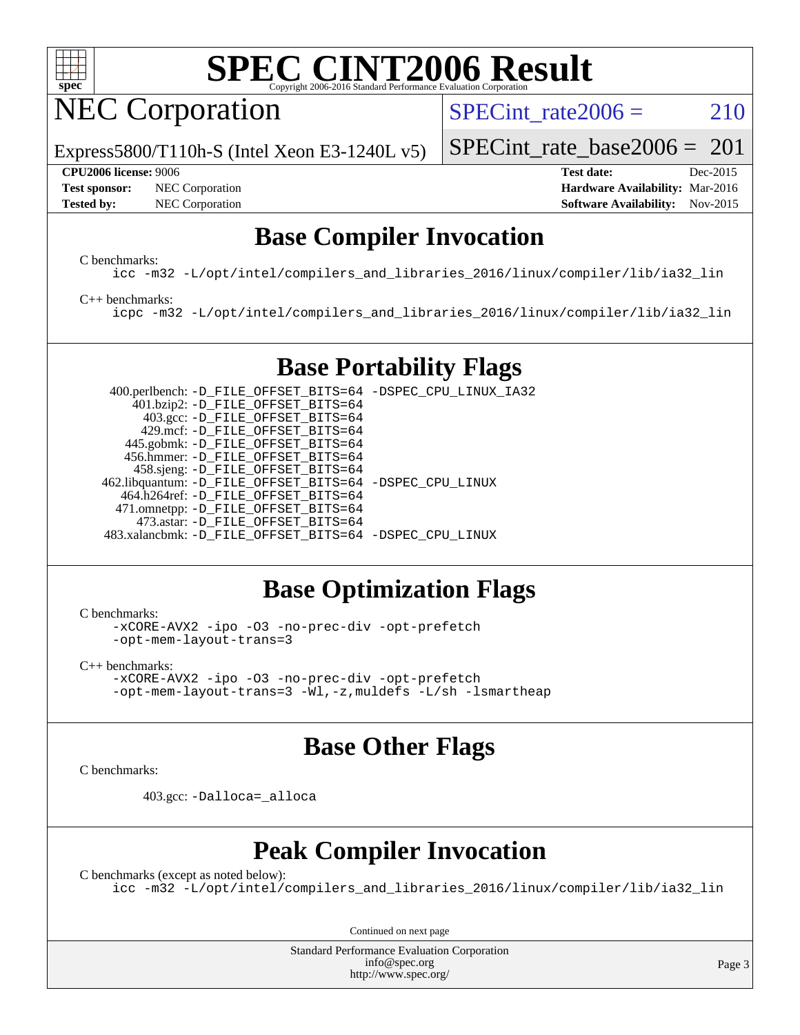

NEC Corporation

SPECint rate $2006 = 210$ 

Express5800/T110h-S (Intel Xeon E3-1240L v5)

#### **[CPU2006 license:](http://www.spec.org/auto/cpu2006/Docs/result-fields.html#CPU2006license)** 9006 **[Test date:](http://www.spec.org/auto/cpu2006/Docs/result-fields.html#Testdate)** Dec-2015

[SPECint\\_rate\\_base2006 =](http://www.spec.org/auto/cpu2006/Docs/result-fields.html#SPECintratebase2006)  $201$ 

**[Test sponsor:](http://www.spec.org/auto/cpu2006/Docs/result-fields.html#Testsponsor)** NEC Corporation **NEC Corporation [Hardware Availability:](http://www.spec.org/auto/cpu2006/Docs/result-fields.html#HardwareAvailability)** Mar-2016 **[Tested by:](http://www.spec.org/auto/cpu2006/Docs/result-fields.html#Testedby)** NEC Corporation **[Software Availability:](http://www.spec.org/auto/cpu2006/Docs/result-fields.html#SoftwareAvailability)** Nov-2015

### **[Base Compiler Invocation](http://www.spec.org/auto/cpu2006/Docs/result-fields.html#BaseCompilerInvocation)**

[C benchmarks](http://www.spec.org/auto/cpu2006/Docs/result-fields.html#Cbenchmarks):

[icc -m32 -L/opt/intel/compilers\\_and\\_libraries\\_2016/linux/compiler/lib/ia32\\_lin](http://www.spec.org/cpu2006/results/res2016q1/cpu2006-20160125-38939.flags.html#user_CCbase_intel_icc_e10256ba5924b668798078a321b0cb3f)

[C++ benchmarks:](http://www.spec.org/auto/cpu2006/Docs/result-fields.html#CXXbenchmarks)

[icpc -m32 -L/opt/intel/compilers\\_and\\_libraries\\_2016/linux/compiler/lib/ia32\\_lin](http://www.spec.org/cpu2006/results/res2016q1/cpu2006-20160125-38939.flags.html#user_CXXbase_intel_icpc_b4f50a394bdb4597aa5879c16bc3f5c5)

### **[Base Portability Flags](http://www.spec.org/auto/cpu2006/Docs/result-fields.html#BasePortabilityFlags)**

 400.perlbench: [-D\\_FILE\\_OFFSET\\_BITS=64](http://www.spec.org/cpu2006/results/res2016q1/cpu2006-20160125-38939.flags.html#user_basePORTABILITY400_perlbench_file_offset_bits_64_438cf9856305ebd76870a2c6dc2689ab) [-DSPEC\\_CPU\\_LINUX\\_IA32](http://www.spec.org/cpu2006/results/res2016q1/cpu2006-20160125-38939.flags.html#b400.perlbench_baseCPORTABILITY_DSPEC_CPU_LINUX_IA32) 401.bzip2: [-D\\_FILE\\_OFFSET\\_BITS=64](http://www.spec.org/cpu2006/results/res2016q1/cpu2006-20160125-38939.flags.html#user_basePORTABILITY401_bzip2_file_offset_bits_64_438cf9856305ebd76870a2c6dc2689ab) 403.gcc: [-D\\_FILE\\_OFFSET\\_BITS=64](http://www.spec.org/cpu2006/results/res2016q1/cpu2006-20160125-38939.flags.html#user_basePORTABILITY403_gcc_file_offset_bits_64_438cf9856305ebd76870a2c6dc2689ab) 429.mcf: [-D\\_FILE\\_OFFSET\\_BITS=64](http://www.spec.org/cpu2006/results/res2016q1/cpu2006-20160125-38939.flags.html#user_basePORTABILITY429_mcf_file_offset_bits_64_438cf9856305ebd76870a2c6dc2689ab) 445.gobmk: [-D\\_FILE\\_OFFSET\\_BITS=64](http://www.spec.org/cpu2006/results/res2016q1/cpu2006-20160125-38939.flags.html#user_basePORTABILITY445_gobmk_file_offset_bits_64_438cf9856305ebd76870a2c6dc2689ab) 456.hmmer: [-D\\_FILE\\_OFFSET\\_BITS=64](http://www.spec.org/cpu2006/results/res2016q1/cpu2006-20160125-38939.flags.html#user_basePORTABILITY456_hmmer_file_offset_bits_64_438cf9856305ebd76870a2c6dc2689ab) 458.sjeng: [-D\\_FILE\\_OFFSET\\_BITS=64](http://www.spec.org/cpu2006/results/res2016q1/cpu2006-20160125-38939.flags.html#user_basePORTABILITY458_sjeng_file_offset_bits_64_438cf9856305ebd76870a2c6dc2689ab) 462.libquantum: [-D\\_FILE\\_OFFSET\\_BITS=64](http://www.spec.org/cpu2006/results/res2016q1/cpu2006-20160125-38939.flags.html#user_basePORTABILITY462_libquantum_file_offset_bits_64_438cf9856305ebd76870a2c6dc2689ab) [-DSPEC\\_CPU\\_LINUX](http://www.spec.org/cpu2006/results/res2016q1/cpu2006-20160125-38939.flags.html#b462.libquantum_baseCPORTABILITY_DSPEC_CPU_LINUX) 464.h264ref: [-D\\_FILE\\_OFFSET\\_BITS=64](http://www.spec.org/cpu2006/results/res2016q1/cpu2006-20160125-38939.flags.html#user_basePORTABILITY464_h264ref_file_offset_bits_64_438cf9856305ebd76870a2c6dc2689ab) 471.omnetpp: [-D\\_FILE\\_OFFSET\\_BITS=64](http://www.spec.org/cpu2006/results/res2016q1/cpu2006-20160125-38939.flags.html#user_basePORTABILITY471_omnetpp_file_offset_bits_64_438cf9856305ebd76870a2c6dc2689ab) 473.astar: [-D\\_FILE\\_OFFSET\\_BITS=64](http://www.spec.org/cpu2006/results/res2016q1/cpu2006-20160125-38939.flags.html#user_basePORTABILITY473_astar_file_offset_bits_64_438cf9856305ebd76870a2c6dc2689ab) 483.xalancbmk: [-D\\_FILE\\_OFFSET\\_BITS=64](http://www.spec.org/cpu2006/results/res2016q1/cpu2006-20160125-38939.flags.html#user_basePORTABILITY483_xalancbmk_file_offset_bits_64_438cf9856305ebd76870a2c6dc2689ab) [-DSPEC\\_CPU\\_LINUX](http://www.spec.org/cpu2006/results/res2016q1/cpu2006-20160125-38939.flags.html#b483.xalancbmk_baseCXXPORTABILITY_DSPEC_CPU_LINUX)

### **[Base Optimization Flags](http://www.spec.org/auto/cpu2006/Docs/result-fields.html#BaseOptimizationFlags)**

[C benchmarks](http://www.spec.org/auto/cpu2006/Docs/result-fields.html#Cbenchmarks):

[-xCORE-AVX2](http://www.spec.org/cpu2006/results/res2016q1/cpu2006-20160125-38939.flags.html#user_CCbase_f-xAVX2_5f5fc0cbe2c9f62c816d3e45806c70d7) [-ipo](http://www.spec.org/cpu2006/results/res2016q1/cpu2006-20160125-38939.flags.html#user_CCbase_f-ipo) [-O3](http://www.spec.org/cpu2006/results/res2016q1/cpu2006-20160125-38939.flags.html#user_CCbase_f-O3) [-no-prec-div](http://www.spec.org/cpu2006/results/res2016q1/cpu2006-20160125-38939.flags.html#user_CCbase_f-no-prec-div) [-opt-prefetch](http://www.spec.org/cpu2006/results/res2016q1/cpu2006-20160125-38939.flags.html#user_CCbase_f-opt-prefetch) [-opt-mem-layout-trans=3](http://www.spec.org/cpu2006/results/res2016q1/cpu2006-20160125-38939.flags.html#user_CCbase_f-opt-mem-layout-trans_a7b82ad4bd7abf52556d4961a2ae94d5)

[C++ benchmarks:](http://www.spec.org/auto/cpu2006/Docs/result-fields.html#CXXbenchmarks) [-xCORE-AVX2](http://www.spec.org/cpu2006/results/res2016q1/cpu2006-20160125-38939.flags.html#user_CXXbase_f-xAVX2_5f5fc0cbe2c9f62c816d3e45806c70d7) [-ipo](http://www.spec.org/cpu2006/results/res2016q1/cpu2006-20160125-38939.flags.html#user_CXXbase_f-ipo) [-O3](http://www.spec.org/cpu2006/results/res2016q1/cpu2006-20160125-38939.flags.html#user_CXXbase_f-O3) [-no-prec-div](http://www.spec.org/cpu2006/results/res2016q1/cpu2006-20160125-38939.flags.html#user_CXXbase_f-no-prec-div) [-opt-prefetch](http://www.spec.org/cpu2006/results/res2016q1/cpu2006-20160125-38939.flags.html#user_CXXbase_f-opt-prefetch) [-opt-mem-layout-trans=3](http://www.spec.org/cpu2006/results/res2016q1/cpu2006-20160125-38939.flags.html#user_CXXbase_f-opt-mem-layout-trans_a7b82ad4bd7abf52556d4961a2ae94d5) [-Wl,-z,muldefs](http://www.spec.org/cpu2006/results/res2016q1/cpu2006-20160125-38939.flags.html#user_CXXbase_link_force_multiple1_74079c344b956b9658436fd1b6dd3a8a) [-L/sh -lsmartheap](http://www.spec.org/cpu2006/results/res2016q1/cpu2006-20160125-38939.flags.html#user_CXXbase_SmartHeap_32f6c82aa1ed9c52345d30cf6e4a0499)

### **[Base Other Flags](http://www.spec.org/auto/cpu2006/Docs/result-fields.html#BaseOtherFlags)**

[C benchmarks](http://www.spec.org/auto/cpu2006/Docs/result-fields.html#Cbenchmarks):

403.gcc: [-Dalloca=\\_alloca](http://www.spec.org/cpu2006/results/res2016q1/cpu2006-20160125-38939.flags.html#b403.gcc_baseEXTRA_CFLAGS_Dalloca_be3056838c12de2578596ca5467af7f3)

### **[Peak Compiler Invocation](http://www.spec.org/auto/cpu2006/Docs/result-fields.html#PeakCompilerInvocation)**

[C benchmarks \(except as noted below\)](http://www.spec.org/auto/cpu2006/Docs/result-fields.html#Cbenchmarksexceptasnotedbelow): [icc -m32 -L/opt/intel/compilers\\_and\\_libraries\\_2016/linux/compiler/lib/ia32\\_lin](http://www.spec.org/cpu2006/results/res2016q1/cpu2006-20160125-38939.flags.html#user_CCpeak_intel_icc_e10256ba5924b668798078a321b0cb3f)

Continued on next page

Standard Performance Evaluation Corporation [info@spec.org](mailto:info@spec.org) <http://www.spec.org/>

Page 3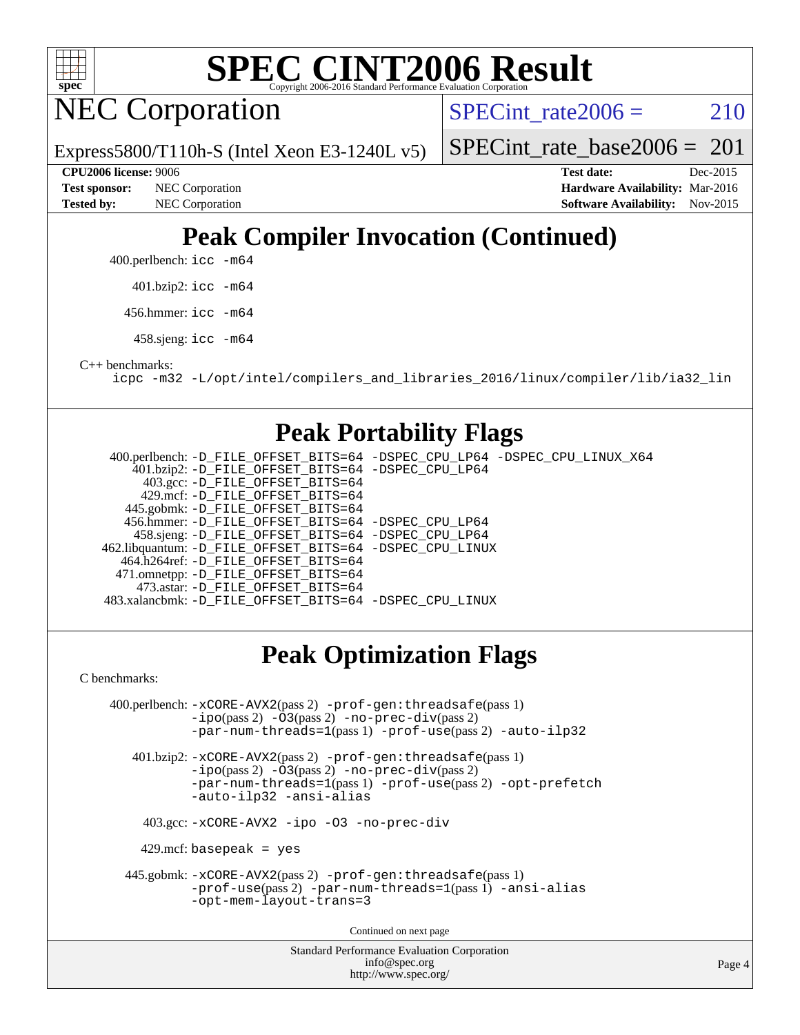

NEC Corporation

SPECint rate $2006 = 210$ 

Express5800/T110h-S (Intel Xeon E3-1240L v5)

[SPECint\\_rate\\_base2006 =](http://www.spec.org/auto/cpu2006/Docs/result-fields.html#SPECintratebase2006)  $201$ 

[Tested by:](http://www.spec.org/auto/cpu2006/Docs/result-fields.html#Testedby) NEC Corporation **[Software Availability:](http://www.spec.org/auto/cpu2006/Docs/result-fields.html#SoftwareAvailability)** Nov-2015

**[CPU2006 license:](http://www.spec.org/auto/cpu2006/Docs/result-fields.html#CPU2006license)** 9006 **[Test date:](http://www.spec.org/auto/cpu2006/Docs/result-fields.html#Testdate)** Dec-2015 **[Test sponsor:](http://www.spec.org/auto/cpu2006/Docs/result-fields.html#Testsponsor)** NEC Corporation **NEC Corporation [Hardware Availability:](http://www.spec.org/auto/cpu2006/Docs/result-fields.html#HardwareAvailability)** Mar-2016

### **[Peak Compiler Invocation \(Continued\)](http://www.spec.org/auto/cpu2006/Docs/result-fields.html#PeakCompilerInvocation)**

400.perlbench: [icc -m64](http://www.spec.org/cpu2006/results/res2016q1/cpu2006-20160125-38939.flags.html#user_peakCCLD400_perlbench_intel_icc_64bit_bda6cc9af1fdbb0edc3795bac97ada53)

401.bzip2: [icc -m64](http://www.spec.org/cpu2006/results/res2016q1/cpu2006-20160125-38939.flags.html#user_peakCCLD401_bzip2_intel_icc_64bit_bda6cc9af1fdbb0edc3795bac97ada53)

456.hmmer: [icc -m64](http://www.spec.org/cpu2006/results/res2016q1/cpu2006-20160125-38939.flags.html#user_peakCCLD456_hmmer_intel_icc_64bit_bda6cc9af1fdbb0edc3795bac97ada53)

458.sjeng: [icc -m64](http://www.spec.org/cpu2006/results/res2016q1/cpu2006-20160125-38939.flags.html#user_peakCCLD458_sjeng_intel_icc_64bit_bda6cc9af1fdbb0edc3795bac97ada53)

[C++ benchmarks:](http://www.spec.org/auto/cpu2006/Docs/result-fields.html#CXXbenchmarks)

[icpc -m32 -L/opt/intel/compilers\\_and\\_libraries\\_2016/linux/compiler/lib/ia32\\_lin](http://www.spec.org/cpu2006/results/res2016q1/cpu2006-20160125-38939.flags.html#user_CXXpeak_intel_icpc_b4f50a394bdb4597aa5879c16bc3f5c5)

#### **[Peak Portability Flags](http://www.spec.org/auto/cpu2006/Docs/result-fields.html#PeakPortabilityFlags)**

 400.perlbench: [-D\\_FILE\\_OFFSET\\_BITS=64](http://www.spec.org/cpu2006/results/res2016q1/cpu2006-20160125-38939.flags.html#user_peakPORTABILITY400_perlbench_file_offset_bits_64_438cf9856305ebd76870a2c6dc2689ab) [-DSPEC\\_CPU\\_LP64](http://www.spec.org/cpu2006/results/res2016q1/cpu2006-20160125-38939.flags.html#b400.perlbench_peakCPORTABILITY_DSPEC_CPU_LP64) [-DSPEC\\_CPU\\_LINUX\\_X64](http://www.spec.org/cpu2006/results/res2016q1/cpu2006-20160125-38939.flags.html#b400.perlbench_peakCPORTABILITY_DSPEC_CPU_LINUX_X64) 401.bzip2: [-D\\_FILE\\_OFFSET\\_BITS=64](http://www.spec.org/cpu2006/results/res2016q1/cpu2006-20160125-38939.flags.html#user_peakPORTABILITY401_bzip2_file_offset_bits_64_438cf9856305ebd76870a2c6dc2689ab) [-DSPEC\\_CPU\\_LP64](http://www.spec.org/cpu2006/results/res2016q1/cpu2006-20160125-38939.flags.html#suite_peakCPORTABILITY401_bzip2_DSPEC_CPU_LP64) 403.gcc: [-D\\_FILE\\_OFFSET\\_BITS=64](http://www.spec.org/cpu2006/results/res2016q1/cpu2006-20160125-38939.flags.html#user_peakPORTABILITY403_gcc_file_offset_bits_64_438cf9856305ebd76870a2c6dc2689ab) 429.mcf: [-D\\_FILE\\_OFFSET\\_BITS=64](http://www.spec.org/cpu2006/results/res2016q1/cpu2006-20160125-38939.flags.html#user_peakPORTABILITY429_mcf_file_offset_bits_64_438cf9856305ebd76870a2c6dc2689ab) 445.gobmk: [-D\\_FILE\\_OFFSET\\_BITS=64](http://www.spec.org/cpu2006/results/res2016q1/cpu2006-20160125-38939.flags.html#user_peakPORTABILITY445_gobmk_file_offset_bits_64_438cf9856305ebd76870a2c6dc2689ab) 456.hmmer: [-D\\_FILE\\_OFFSET\\_BITS=64](http://www.spec.org/cpu2006/results/res2016q1/cpu2006-20160125-38939.flags.html#user_peakPORTABILITY456_hmmer_file_offset_bits_64_438cf9856305ebd76870a2c6dc2689ab) [-DSPEC\\_CPU\\_LP64](http://www.spec.org/cpu2006/results/res2016q1/cpu2006-20160125-38939.flags.html#suite_peakCPORTABILITY456_hmmer_DSPEC_CPU_LP64) 458.sjeng: [-D\\_FILE\\_OFFSET\\_BITS=64](http://www.spec.org/cpu2006/results/res2016q1/cpu2006-20160125-38939.flags.html#user_peakPORTABILITY458_sjeng_file_offset_bits_64_438cf9856305ebd76870a2c6dc2689ab) [-DSPEC\\_CPU\\_LP64](http://www.spec.org/cpu2006/results/res2016q1/cpu2006-20160125-38939.flags.html#suite_peakCPORTABILITY458_sjeng_DSPEC_CPU_LP64) 462.libquantum: [-D\\_FILE\\_OFFSET\\_BITS=64](http://www.spec.org/cpu2006/results/res2016q1/cpu2006-20160125-38939.flags.html#user_peakPORTABILITY462_libquantum_file_offset_bits_64_438cf9856305ebd76870a2c6dc2689ab) [-DSPEC\\_CPU\\_LINUX](http://www.spec.org/cpu2006/results/res2016q1/cpu2006-20160125-38939.flags.html#b462.libquantum_peakCPORTABILITY_DSPEC_CPU_LINUX) 464.h264ref: [-D\\_FILE\\_OFFSET\\_BITS=64](http://www.spec.org/cpu2006/results/res2016q1/cpu2006-20160125-38939.flags.html#user_peakPORTABILITY464_h264ref_file_offset_bits_64_438cf9856305ebd76870a2c6dc2689ab) 471.omnetpp: [-D\\_FILE\\_OFFSET\\_BITS=64](http://www.spec.org/cpu2006/results/res2016q1/cpu2006-20160125-38939.flags.html#user_peakPORTABILITY471_omnetpp_file_offset_bits_64_438cf9856305ebd76870a2c6dc2689ab) 473.astar: [-D\\_FILE\\_OFFSET\\_BITS=64](http://www.spec.org/cpu2006/results/res2016q1/cpu2006-20160125-38939.flags.html#user_peakPORTABILITY473_astar_file_offset_bits_64_438cf9856305ebd76870a2c6dc2689ab) 483.xalancbmk: [-D\\_FILE\\_OFFSET\\_BITS=64](http://www.spec.org/cpu2006/results/res2016q1/cpu2006-20160125-38939.flags.html#user_peakPORTABILITY483_xalancbmk_file_offset_bits_64_438cf9856305ebd76870a2c6dc2689ab) [-DSPEC\\_CPU\\_LINUX](http://www.spec.org/cpu2006/results/res2016q1/cpu2006-20160125-38939.flags.html#b483.xalancbmk_peakCXXPORTABILITY_DSPEC_CPU_LINUX)

### **[Peak Optimization Flags](http://www.spec.org/auto/cpu2006/Docs/result-fields.html#PeakOptimizationFlags)**

[C benchmarks](http://www.spec.org/auto/cpu2006/Docs/result-fields.html#Cbenchmarks):

Standard Performance Evaluation Corporation 400.perlbench: [-xCORE-AVX2](http://www.spec.org/cpu2006/results/res2016q1/cpu2006-20160125-38939.flags.html#user_peakPASS2_CFLAGSPASS2_LDCFLAGS400_perlbench_f-xAVX2_5f5fc0cbe2c9f62c816d3e45806c70d7)(pass 2) [-prof-gen:threadsafe](http://www.spec.org/cpu2006/results/res2016q1/cpu2006-20160125-38939.flags.html#user_peakPASS1_CFLAGSPASS1_LDCFLAGS400_perlbench_prof_gen_21a26eb79f378b550acd7bec9fe4467a)(pass 1) [-ipo](http://www.spec.org/cpu2006/results/res2016q1/cpu2006-20160125-38939.flags.html#user_peakPASS2_CFLAGSPASS2_LDCFLAGS400_perlbench_f-ipo)(pass 2) [-O3](http://www.spec.org/cpu2006/results/res2016q1/cpu2006-20160125-38939.flags.html#user_peakPASS2_CFLAGSPASS2_LDCFLAGS400_perlbench_f-O3)(pass 2) [-no-prec-div](http://www.spec.org/cpu2006/results/res2016q1/cpu2006-20160125-38939.flags.html#user_peakPASS2_CFLAGSPASS2_LDCFLAGS400_perlbench_f-no-prec-div)(pass 2) [-par-num-threads=1](http://www.spec.org/cpu2006/results/res2016q1/cpu2006-20160125-38939.flags.html#user_peakPASS1_CFLAGSPASS1_LDCFLAGS400_perlbench_par_num_threads_786a6ff141b4e9e90432e998842df6c2)(pass 1) [-prof-use](http://www.spec.org/cpu2006/results/res2016q1/cpu2006-20160125-38939.flags.html#user_peakPASS2_CFLAGSPASS2_LDCFLAGS400_perlbench_prof_use_bccf7792157ff70d64e32fe3e1250b55)(pass 2) [-auto-ilp32](http://www.spec.org/cpu2006/results/res2016q1/cpu2006-20160125-38939.flags.html#user_peakCOPTIMIZE400_perlbench_f-auto-ilp32) 401.bzip2: [-xCORE-AVX2](http://www.spec.org/cpu2006/results/res2016q1/cpu2006-20160125-38939.flags.html#user_peakPASS2_CFLAGSPASS2_LDCFLAGS401_bzip2_f-xAVX2_5f5fc0cbe2c9f62c816d3e45806c70d7)(pass 2) [-prof-gen:threadsafe](http://www.spec.org/cpu2006/results/res2016q1/cpu2006-20160125-38939.flags.html#user_peakPASS1_CFLAGSPASS1_LDCFLAGS401_bzip2_prof_gen_21a26eb79f378b550acd7bec9fe4467a)(pass 1) [-ipo](http://www.spec.org/cpu2006/results/res2016q1/cpu2006-20160125-38939.flags.html#user_peakPASS2_CFLAGSPASS2_LDCFLAGS401_bzip2_f-ipo)(pass 2) [-O3](http://www.spec.org/cpu2006/results/res2016q1/cpu2006-20160125-38939.flags.html#user_peakPASS2_CFLAGSPASS2_LDCFLAGS401_bzip2_f-O3)(pass 2) [-no-prec-div](http://www.spec.org/cpu2006/results/res2016q1/cpu2006-20160125-38939.flags.html#user_peakPASS2_CFLAGSPASS2_LDCFLAGS401_bzip2_f-no-prec-div)(pass 2) [-par-num-threads=1](http://www.spec.org/cpu2006/results/res2016q1/cpu2006-20160125-38939.flags.html#user_peakPASS1_CFLAGSPASS1_LDCFLAGS401_bzip2_par_num_threads_786a6ff141b4e9e90432e998842df6c2)(pass 1) [-prof-use](http://www.spec.org/cpu2006/results/res2016q1/cpu2006-20160125-38939.flags.html#user_peakPASS2_CFLAGSPASS2_LDCFLAGS401_bzip2_prof_use_bccf7792157ff70d64e32fe3e1250b55)(pass 2) [-opt-prefetch](http://www.spec.org/cpu2006/results/res2016q1/cpu2006-20160125-38939.flags.html#user_peakCOPTIMIZE401_bzip2_f-opt-prefetch) [-auto-ilp32](http://www.spec.org/cpu2006/results/res2016q1/cpu2006-20160125-38939.flags.html#user_peakCOPTIMIZE401_bzip2_f-auto-ilp32) [-ansi-alias](http://www.spec.org/cpu2006/results/res2016q1/cpu2006-20160125-38939.flags.html#user_peakCOPTIMIZE401_bzip2_f-ansi-alias) 403.gcc: [-xCORE-AVX2](http://www.spec.org/cpu2006/results/res2016q1/cpu2006-20160125-38939.flags.html#user_peakCOPTIMIZE403_gcc_f-xAVX2_5f5fc0cbe2c9f62c816d3e45806c70d7) [-ipo](http://www.spec.org/cpu2006/results/res2016q1/cpu2006-20160125-38939.flags.html#user_peakCOPTIMIZE403_gcc_f-ipo) [-O3](http://www.spec.org/cpu2006/results/res2016q1/cpu2006-20160125-38939.flags.html#user_peakCOPTIMIZE403_gcc_f-O3) [-no-prec-div](http://www.spec.org/cpu2006/results/res2016q1/cpu2006-20160125-38939.flags.html#user_peakCOPTIMIZE403_gcc_f-no-prec-div)  $429$ .mcf: basepeak = yes 445.gobmk: [-xCORE-AVX2](http://www.spec.org/cpu2006/results/res2016q1/cpu2006-20160125-38939.flags.html#user_peakPASS2_CFLAGSPASS2_LDCFLAGS445_gobmk_f-xAVX2_5f5fc0cbe2c9f62c816d3e45806c70d7)(pass 2) [-prof-gen:threadsafe](http://www.spec.org/cpu2006/results/res2016q1/cpu2006-20160125-38939.flags.html#user_peakPASS1_CFLAGSPASS1_LDCFLAGS445_gobmk_prof_gen_21a26eb79f378b550acd7bec9fe4467a)(pass 1) [-prof-use](http://www.spec.org/cpu2006/results/res2016q1/cpu2006-20160125-38939.flags.html#user_peakPASS2_CFLAGSPASS2_LDCFLAGS445_gobmk_prof_use_bccf7792157ff70d64e32fe3e1250b55)(pass 2) [-par-num-threads=1](http://www.spec.org/cpu2006/results/res2016q1/cpu2006-20160125-38939.flags.html#user_peakPASS1_CFLAGSPASS1_LDCFLAGS445_gobmk_par_num_threads_786a6ff141b4e9e90432e998842df6c2)(pass 1) [-ansi-alias](http://www.spec.org/cpu2006/results/res2016q1/cpu2006-20160125-38939.flags.html#user_peakCOPTIMIZE445_gobmk_f-ansi-alias) [-opt-mem-layout-trans=3](http://www.spec.org/cpu2006/results/res2016q1/cpu2006-20160125-38939.flags.html#user_peakCOPTIMIZE445_gobmk_f-opt-mem-layout-trans_a7b82ad4bd7abf52556d4961a2ae94d5) Continued on next page

[info@spec.org](mailto:info@spec.org) <http://www.spec.org/>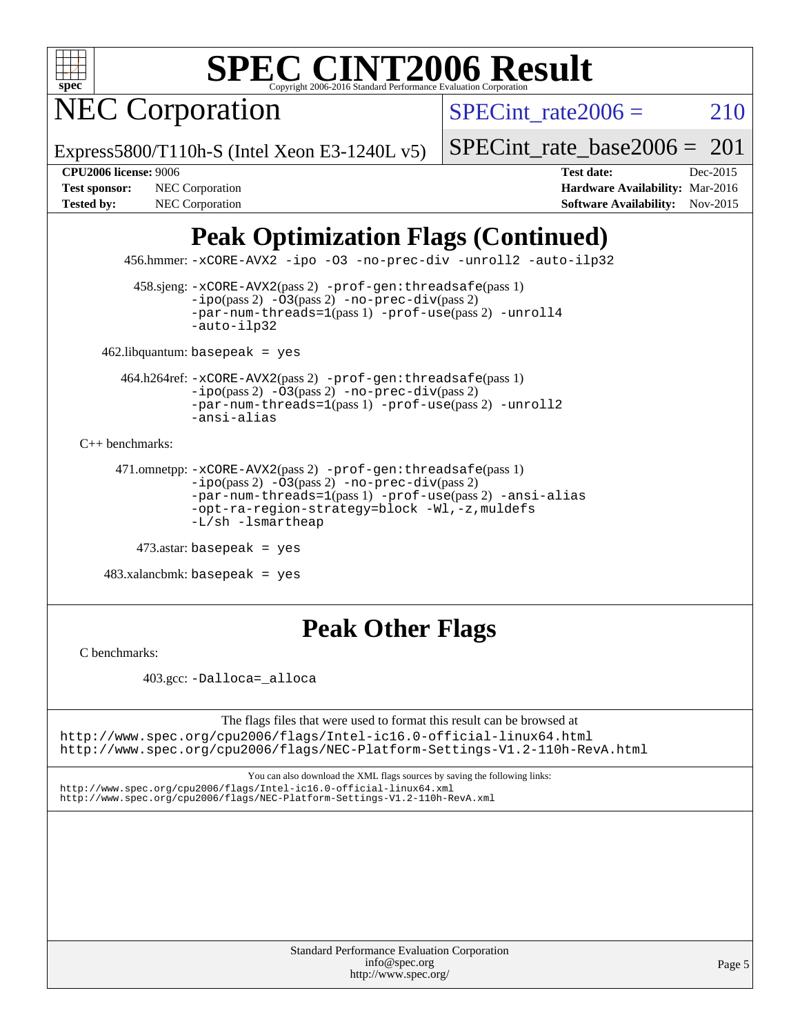

**NEC Corporation** 

SPECint rate $2006 = 210$ 

Express5800/T110h-S (Intel Xeon E3-1240L v5)

[SPECint\\_rate\\_base2006 =](http://www.spec.org/auto/cpu2006/Docs/result-fields.html#SPECintratebase2006)  $201$ 

**[CPU2006 license:](http://www.spec.org/auto/cpu2006/Docs/result-fields.html#CPU2006license)** 9006 **[Test date:](http://www.spec.org/auto/cpu2006/Docs/result-fields.html#Testdate)** Dec-2015 **[Test sponsor:](http://www.spec.org/auto/cpu2006/Docs/result-fields.html#Testsponsor)** NEC Corporation **NEC Corporation [Hardware Availability:](http://www.spec.org/auto/cpu2006/Docs/result-fields.html#HardwareAvailability)** Mar-2016 [Tested by:](http://www.spec.org/auto/cpu2006/Docs/result-fields.html#Testedby) NEC Corporation **[Software Availability:](http://www.spec.org/auto/cpu2006/Docs/result-fields.html#SoftwareAvailability)** Nov-2015

### **[Peak Optimization Flags \(Continued\)](http://www.spec.org/auto/cpu2006/Docs/result-fields.html#PeakOptimizationFlags)**

456.hmmer: [-xCORE-AVX2](http://www.spec.org/cpu2006/results/res2016q1/cpu2006-20160125-38939.flags.html#user_peakCOPTIMIZE456_hmmer_f-xAVX2_5f5fc0cbe2c9f62c816d3e45806c70d7) [-ipo](http://www.spec.org/cpu2006/results/res2016q1/cpu2006-20160125-38939.flags.html#user_peakCOPTIMIZE456_hmmer_f-ipo) [-O3](http://www.spec.org/cpu2006/results/res2016q1/cpu2006-20160125-38939.flags.html#user_peakCOPTIMIZE456_hmmer_f-O3) [-no-prec-div](http://www.spec.org/cpu2006/results/res2016q1/cpu2006-20160125-38939.flags.html#user_peakCOPTIMIZE456_hmmer_f-no-prec-div) [-unroll2](http://www.spec.org/cpu2006/results/res2016q1/cpu2006-20160125-38939.flags.html#user_peakCOPTIMIZE456_hmmer_f-unroll_784dae83bebfb236979b41d2422d7ec2) [-auto-ilp32](http://www.spec.org/cpu2006/results/res2016q1/cpu2006-20160125-38939.flags.html#user_peakCOPTIMIZE456_hmmer_f-auto-ilp32)

 458.sjeng: [-xCORE-AVX2](http://www.spec.org/cpu2006/results/res2016q1/cpu2006-20160125-38939.flags.html#user_peakPASS2_CFLAGSPASS2_LDCFLAGS458_sjeng_f-xAVX2_5f5fc0cbe2c9f62c816d3e45806c70d7)(pass 2) [-prof-gen:threadsafe](http://www.spec.org/cpu2006/results/res2016q1/cpu2006-20160125-38939.flags.html#user_peakPASS1_CFLAGSPASS1_LDCFLAGS458_sjeng_prof_gen_21a26eb79f378b550acd7bec9fe4467a)(pass 1)  $-i\text{po}(pass 2) -03(pass 2) -no-prec-div(pass 2)$  $-i\text{po}(pass 2) -03(pass 2) -no-prec-div(pass 2)$  $-i\text{po}(pass 2) -03(pass 2) -no-prec-div(pass 2)$ [-par-num-threads=1](http://www.spec.org/cpu2006/results/res2016q1/cpu2006-20160125-38939.flags.html#user_peakPASS1_CFLAGSPASS1_LDCFLAGS458_sjeng_par_num_threads_786a6ff141b4e9e90432e998842df6c2)(pass 1) [-prof-use](http://www.spec.org/cpu2006/results/res2016q1/cpu2006-20160125-38939.flags.html#user_peakPASS2_CFLAGSPASS2_LDCFLAGS458_sjeng_prof_use_bccf7792157ff70d64e32fe3e1250b55)(pass 2) [-unroll4](http://www.spec.org/cpu2006/results/res2016q1/cpu2006-20160125-38939.flags.html#user_peakCOPTIMIZE458_sjeng_f-unroll_4e5e4ed65b7fd20bdcd365bec371b81f) [-auto-ilp32](http://www.spec.org/cpu2006/results/res2016q1/cpu2006-20160125-38939.flags.html#user_peakCOPTIMIZE458_sjeng_f-auto-ilp32)

462.libquantum: basepeak = yes

 464.h264ref: [-xCORE-AVX2](http://www.spec.org/cpu2006/results/res2016q1/cpu2006-20160125-38939.flags.html#user_peakPASS2_CFLAGSPASS2_LDCFLAGS464_h264ref_f-xAVX2_5f5fc0cbe2c9f62c816d3e45806c70d7)(pass 2) [-prof-gen:threadsafe](http://www.spec.org/cpu2006/results/res2016q1/cpu2006-20160125-38939.flags.html#user_peakPASS1_CFLAGSPASS1_LDCFLAGS464_h264ref_prof_gen_21a26eb79f378b550acd7bec9fe4467a)(pass 1)  $-i\text{po}(pass 2) -\overline{O}3(pass 2)$  [-no-prec-div](http://www.spec.org/cpu2006/results/res2016q1/cpu2006-20160125-38939.flags.html#user_peakPASS2_CFLAGSPASS2_LDCFLAGS464_h264ref_f-no-prec-div)(pass 2) [-par-num-threads=1](http://www.spec.org/cpu2006/results/res2016q1/cpu2006-20160125-38939.flags.html#user_peakPASS1_CFLAGSPASS1_LDCFLAGS464_h264ref_par_num_threads_786a6ff141b4e9e90432e998842df6c2)(pass 1) [-prof-use](http://www.spec.org/cpu2006/results/res2016q1/cpu2006-20160125-38939.flags.html#user_peakPASS2_CFLAGSPASS2_LDCFLAGS464_h264ref_prof_use_bccf7792157ff70d64e32fe3e1250b55)(pass 2) [-unroll2](http://www.spec.org/cpu2006/results/res2016q1/cpu2006-20160125-38939.flags.html#user_peakCOPTIMIZE464_h264ref_f-unroll_784dae83bebfb236979b41d2422d7ec2) [-ansi-alias](http://www.spec.org/cpu2006/results/res2016q1/cpu2006-20160125-38939.flags.html#user_peakCOPTIMIZE464_h264ref_f-ansi-alias)

[C++ benchmarks:](http://www.spec.org/auto/cpu2006/Docs/result-fields.html#CXXbenchmarks)

```
 471.omnetpp: -xCORE-AVX2(pass 2) -prof-gen:threadsafe(pass 1)
-ipo(pass 2) -O3(pass 2) -no-prec-div(pass 2)
-par-num-threads=1(pass 1) -prof-use(pass 2) -ansi-alias
-opt-ra-region-strategy=block -Wl,-z,muldefs
-L/sh -lsmartheap
```
473.astar: basepeak = yes

 $483.xalanchmk: basepeak = yes$ 

### **[Peak Other Flags](http://www.spec.org/auto/cpu2006/Docs/result-fields.html#PeakOtherFlags)**

[C benchmarks](http://www.spec.org/auto/cpu2006/Docs/result-fields.html#Cbenchmarks):

403.gcc: [-Dalloca=\\_alloca](http://www.spec.org/cpu2006/results/res2016q1/cpu2006-20160125-38939.flags.html#b403.gcc_peakEXTRA_CFLAGS_Dalloca_be3056838c12de2578596ca5467af7f3)

The flags files that were used to format this result can be browsed at <http://www.spec.org/cpu2006/flags/Intel-ic16.0-official-linux64.html> <http://www.spec.org/cpu2006/flags/NEC-Platform-Settings-V1.2-110h-RevA.html>

You can also download the XML flags sources by saving the following links:

<http://www.spec.org/cpu2006/flags/Intel-ic16.0-official-linux64.xml> <http://www.spec.org/cpu2006/flags/NEC-Platform-Settings-V1.2-110h-RevA.xml>

> Standard Performance Evaluation Corporation [info@spec.org](mailto:info@spec.org) <http://www.spec.org/>